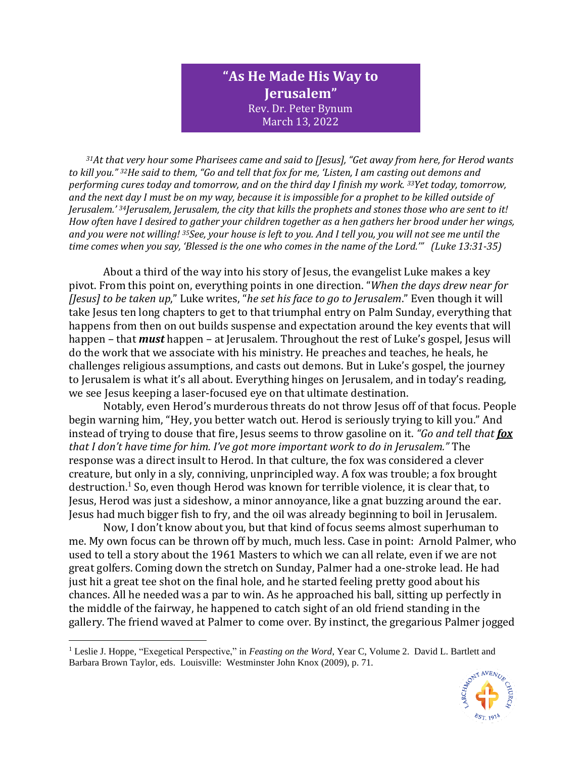## **"As He Made His Way to Jerusalem"** Rev. Dr. Peter Bynum March 13, 2022

*<sup>31</sup>At that very hour some Pharisees came and said to [Jesus], "Get away from here, for Herod wants to kill you." <sup>32</sup>He said to them, "Go and tell that fox for me, 'Listen, I am casting out demons and performing cures today and tomorrow, and on the third day I finish my work. <sup>33</sup>Yet today, tomorrow, and the next day I must be on my way, because it is impossible for a prophet to be killed outside of Jerusalem.' <sup>34</sup>Jerusalem, Jerusalem, the city that kills the prophets and stones those who are sent to it! How often have I desired to gather your children together as a hen gathers her brood under her wings, and you were not willing! <sup>35</sup>See, your house is left to you. And I tell you, you will not see me until the time comes when you say, 'Blessed is the one who comes in the name of the Lord.'" (Luke 13:31-35)*

About a third of the way into his story of Jesus, the evangelist Luke makes a key pivot. From this point on, everything points in one direction. "*When the days drew near for [Jesus] to be taken up*," Luke writes, "*he set his face to go to Jerusalem*." Even though it will take Jesus ten long chapters to get to that triumphal entry on Palm Sunday, everything that happens from then on out builds suspense and expectation around the key events that will happen – that *must* happen – at Jerusalem. Throughout the rest of Luke's gospel, Jesus will do the work that we associate with his ministry. He preaches and teaches, he heals, he challenges religious assumptions, and casts out demons. But in Luke's gospel, the journey to Jerusalem is what it's all about. Everything hinges on Jerusalem, and in today's reading, we see Jesus keeping a laser-focused eye on that ultimate destination.

Notably, even Herod's murderous threats do not throw Jesus off of that focus. People begin warning him, "Hey, you better watch out. Herod is seriously trying to kill you." And instead of trying to douse that fire, Jesus seems to throw gasoline on it. *"Go and tell that fox that I don't have time for him. I've got more important work to do in Jerusalem."* The response was a direct insult to Herod. In that culture, the fox was considered a clever creature, but only in a sly, conniving, unprincipled way. A fox was trouble; a fox brought destruction.<sup>1</sup> So, even though Herod was known for terrible violence, it is clear that, to Jesus, Herod was just a sideshow, a minor annoyance, like a gnat buzzing around the ear. Jesus had much bigger fish to fry, and the oil was already beginning to boil in Jerusalem.

Now, I don't know about you, but that kind of focus seems almost superhuman to me. My own focus can be thrown off by much, much less. Case in point: Arnold Palmer, who used to tell a story about the 1961 Masters to which we can all relate, even if we are not great golfers. Coming down the stretch on Sunday, Palmer had a one-stroke lead. He had just hit a great tee shot on the final hole, and he started feeling pretty good about his chances. All he needed was a par to win. As he approached his ball, sitting up perfectly in the middle of the fairway, he happened to catch sight of an old friend standing in the gallery. The friend waved at Palmer to come over. By instinct, the gregarious Palmer jogged

<sup>1</sup> Leslie J. Hoppe, "Exegetical Perspective," in *Feasting on the Word*, Year C, Volume 2. David L. Bartlett and Barbara Brown Taylor, eds. Louisville: Westminster John Knox (2009), p. 71.

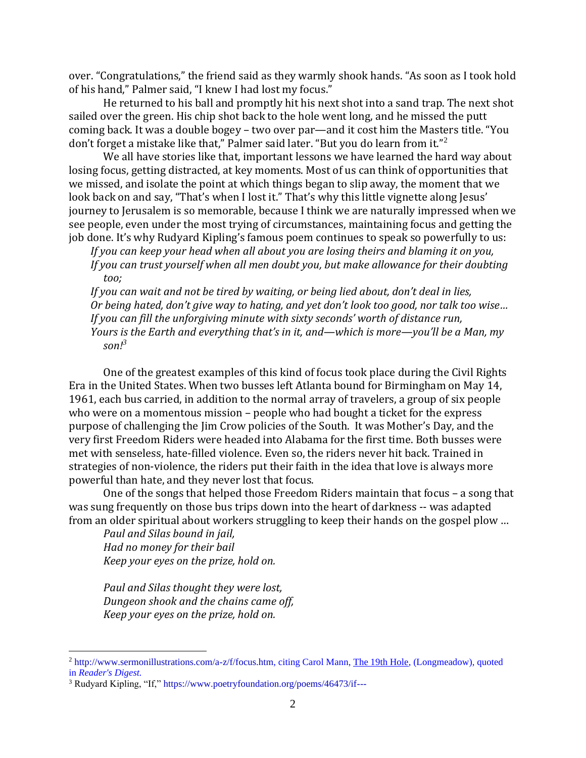over. "Congratulations," the friend said as they warmly shook hands. "As soon as I took hold of his hand," Palmer said, "I knew I had lost my focus."

He returned to his ball and promptly hit his next shot into a sand trap. The next shot sailed over the green. His chip shot back to the hole went long, and he missed the putt coming back. It was a double bogey – two over par—and it cost him the Masters title. "You don't forget a mistake like that," Palmer said later. "But you do learn from it."<sup>2</sup>

We all have stories like that, important lessons we have learned the hard way about losing focus, getting distracted, at key moments. Most of us can think of opportunities that we missed, and isolate the point at which things began to slip away, the moment that we look back on and say, "That's when I lost it." That's why this little vignette along Jesus' journey to Jerusalem is so memorable, because I think we are naturally impressed when we see people, even under the most trying of circumstances, maintaining focus and getting the job done. It's why Rudyard Kipling's famous poem continues to speak so powerfully to us:

*If you can keep your head when all about you are losing theirs and blaming it on you, If you can trust yourself when all men doubt you, but make allowance for their doubting too;* 

*If you can wait and not be tired by waiting, or being lied about, don't deal in lies, Or being hated, don't give way to hating, and yet don't look too good, nor talk too wise… If you can fill the unforgiving minute with sixty seconds' worth of distance run, Yours is the Earth and everything that's in it, and—which is more—you'll be a Man, my*   $son!^3$ 

One of the greatest examples of this kind of focus took place during the Civil Rights Era in the United States. When two busses left Atlanta bound for Birmingham on May 14, 1961, each bus carried, in addition to the normal array of travelers, a group of six people who were on a momentous mission – people who had bought a ticket for the express purpose of challenging the Jim Crow policies of the South. It was Mother's Day, and the very first Freedom Riders were headed into Alabama for the first time. Both busses were met with senseless, hate-filled violence. Even so, the riders never hit back. Trained in strategies of non-violence, the riders put their faith in the idea that love is always more powerful than hate, and they never lost that focus.

One of the songs that helped those Freedom Riders maintain that focus – a song that was sung frequently on those bus trips down into the heart of darkness -- was adapted from an older spiritual about workers struggling to keep their hands on the gospel plow …

*Paul and Silas bound in jail, Had no money for their bail Keep your eyes on the prize, hold on.*

*Paul and Silas thought they were lost, Dungeon shook and the chains came off, Keep your eyes on the prize, hold on.*

<sup>2</sup> [http://www.sermonillustrations.com/a-z/f/focus.htm,](http://www.sermonillustrations.com/a-z/f/focus.htm) citing Carol Mann, The 19th Hole, (Longmeadow), quoted in *Reader's Digest.*

<sup>&</sup>lt;sup>3</sup> Rudyard Kipling, "If,"<https://www.poetryfoundation.org/poems/46473/if--->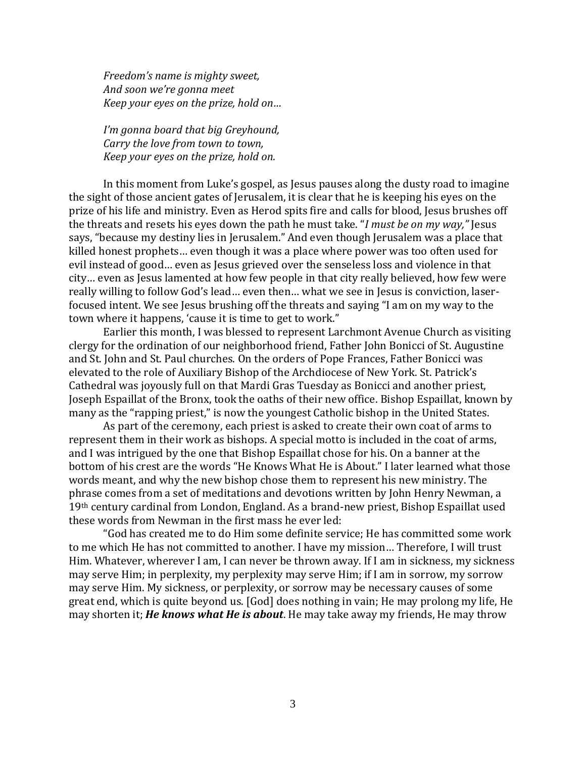*Freedom's name is mighty sweet, And soon we're gonna meet Keep your eyes on the prize, hold on…*

*I'm gonna board that big Greyhound, Carry the love from town to town, Keep your eyes on the prize, hold on.* 

In this moment from Luke's gospel, as Jesus pauses along the dusty road to imagine the sight of those ancient gates of Jerusalem, it is clear that he is keeping his eyes on the prize of his life and ministry. Even as Herod spits fire and calls for blood, Jesus brushes off the threats and resets his eyes down the path he must take. "*I must be on my way,"* Jesus says, "because my destiny lies in Jerusalem." And even though Jerusalem was a place that killed honest prophets… even though it was a place where power was too often used for evil instead of good… even as Jesus grieved over the senseless loss and violence in that city… even as Jesus lamented at how few people in that city really believed, how few were really willing to follow God's lead… even then… what we see in Jesus is conviction, laserfocused intent. We see Jesus brushing off the threats and saying "I am on my way to the town where it happens, 'cause it is time to get to work."

Earlier this month, I was blessed to represent Larchmont Avenue Church as visiting clergy for the ordination of our neighborhood friend, Father John Bonicci of St. Augustine and St. John and St. Paul churches. On the orders of Pope Frances, Father Bonicci was elevated to the role of Auxiliary Bishop of the Archdiocese of New York. St. Patrick's Cathedral was joyously full on that Mardi Gras Tuesday as Bonicci and another priest, Joseph Espaillat of the Bronx, took the oaths of their new office. Bishop Espaillat, known by many as the "rapping priest," is now the youngest Catholic bishop in the United States.

As part of the ceremony, each priest is asked to create their own coat of arms to represent them in their work as bishops. A special motto is included in the coat of arms, and I was intrigued by the one that Bishop Espaillat chose for his. On a banner at the bottom of his crest are the words "He Knows What He is About." I later learned what those words meant, and why the new bishop chose them to represent his new ministry. The phrase comes from a set of meditations and devotions written by John Henry Newman, a 19th century cardinal from London, England. As a brand-new priest, Bishop Espaillat used these words from Newman in the first mass he ever led:

"God has created me to do Him some definite service; He has committed some work to me which He has not committed to another. I have my mission… Therefore, I will trust Him. Whatever, wherever I am, I can never be thrown away. If I am in sickness, my sickness may serve Him; in perplexity, my perplexity may serve Him; if I am in sorrow, my sorrow may serve Him. My sickness, or perplexity, or sorrow may be necessary causes of some great end, which is quite beyond us. [God] does nothing in vain; He may prolong my life, He may shorten it; *He knows what He is about*. He may take away my friends, He may throw